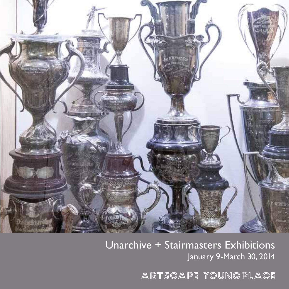

Unarchive + Stairmasters Exhibitions January 9-March 30, 2014

ARTSCAPE YOUNGPLACE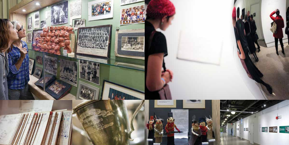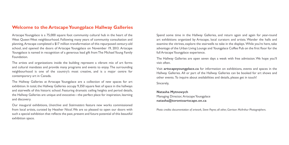## **Welcome to the Artscape Youngplace Hallway Galleries**

Artscape Youngplace is a 75,000 square foot community cultural hub in the heart of the West Queen West neighbourhood. Following many years of community consultation and planning, Artscape completed a \$17 million transformation of this repurposed century-old school, and opened the doors of Artscape Youngplace on November 19, 2013. Artscape Youngplace is named in recognition of a generous lead gift from The Michael Young Family Foundation.

The artists and organizations inside the building represent a vibrant mix of art forms and cultural mandates and provide many programs and events to enjoy. The surrounding neighbourhood is one of the country's most creative, and is a major centre for contemporary art in Canada.

The Hallway Galleries at Artscape Youngplace are a collection of new spaces for art exhibition. In total, the Hallway Galleries occupy 9,350 square feet of space in the hallways and stairwells of this historic school. Featuring dramatic ceiling heights and period details, the Hallway Galleries are unique and evocative—the perfect place for inspiration, learning and discovery.

Our inaugural exhibitions, *Unarchive* and *Stairmasters* feature new works commissioned from local artists, curated by Heather Nicol. We are so pleased to open our doors with such a special exhibition that reflects the past, present and future potential of this beautiful exhibition space.

Spend some time in the Hallway Galleries, and return again and again for year-round art exhibitions organized by Artscape, local curators and artists. Wander the halls and examine the vitrines, explore the stairwells to take in the displays. While you're here, take advantage of the Urban Living Lounge and Youngplace Coffee Pub on the first floor for the full Artscape Youngplace experience.

The Hallway Galleries are open seven days a week with free admission. We hope you'll visit often.

Visit **artscapeyoungplace.ca** for information on exhibitions, events and spaces in the Hallway Galleries. All or part of the Hallway Galleries can be booked for art shows and other events. To inquire about availabilities and details, please get in touch!

Sincerely,

**Natasha Mytnowych** Managing Director, Artscape Youngplace **natasha@torontoartscape.on.ca** 

*Photo credits: documentation of artwork, Steve Payne; all other, Garrison McArthur Photographers.*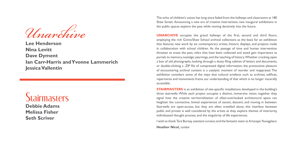Unarchive

**Lee Henderson Nina Levitt Dave Dyment Ian Carr-Harris and Yvonne Lammerich Jessica Vallentin**



**Debbie Adams Melissa Fisher Seth Scriver**

The echo of children's voices has long since faded from the hallways and classrooms at 180 Shaw Street. Announcing a new era of creative intervention, two inaugural exhibitions in the public spaces explore the past while moving decisively into the future.

**UNARCHIVE** occupies the grand hallways of the first, second and third floors, employing the rich Givins/Shaw School archival collections as the basis for an exhibition that features new work by six contemporary artists, historic displays, and projects made in collaboration with school children. As the passage of time and human intervention threaten to erase the past, relics that have been collected and saved gain importance as portals to memory, nostalgic yearnings, and the teaching of history. Whether cracking open a box of old photographs, looking through a dusty filing cabinet of letters and documents, or double-clicking a .ZIP file of compressed digital information, the provocative pleasure of encountering archival content is a catalytic moment of reorder and reappraisal. The exhibition considers some of the ways that cultural artefacts such as archives, edifices, repertoires and monuments frame our understanding of that which is no longer viscerally accessible.

**STAIRMASTERS** is an exhibition of site-specific installations developed in the building's three stairwells. While each project occupies a distinct, immersive vision, together they signal how the creative territorialization of often-overlooked architectural space can heighten the connective, liminal experiences of ascent, descent, and moving in between. Stairwells are open-access, but they are often travelled alone; this interface between public and private is well considered by the artists as they explore themes of interiority, individuated thought process, and the singularity of life experiences.

I wish to thank Tara Bursey, assistant curator, and the fantastic team at Artscape Youngplace. **Heather Nicol,** *curator*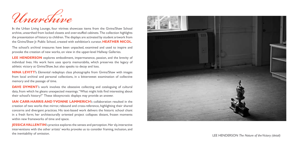

In the Urban Living Lounge, four vitrines showcase items from the Givins/Shaw School archive, unearthed from locked closets and over-stuffed cabinets. The collection highlights the presentation of history to children. The displays are activated by student artwork from the Givins/Shaw Jr. Public School, created with exhibition's curator, **Heather Nicol**.

The school's archival treasures have been unpacked, examined and used to inspire and provoke the creation of new works, on view in the upper-level Hallway Galleries.

**LEE HENDERSON** explores embodiment, impermanence, passion, and the brevity of individual lives. His work here uses sports memorabilia, which preserves the legacy of athletic victory at Givins/Shaw, but also speaks to decay and loss.

**Nina Levitt**'s *Elemental* redeploys class photographs from Givins/Shaw with images from local archival and personal collections, in a bittersweet examination of collective memory and the passage of time.

**DAVE DYMENT's** work involves the obsessive collecting and cataloguing of cultural data, from which he gleans unexpected meanings. "What might kids find interesting about their school's history?" These idiosyncratic displays may provide an answer.

**Ian Carr-Harris and Yvonne Lammerich**'s collaboration resulted in the creation of two works that mirror, rebound and cross-reference, highlighting their shared concerns and divergent practices. His text-based work delivers the historic school chant in a fresh form; her architecturally oriented project collapses distant, frozen moments within new frameworks of time and space.

**JESSICAVALLENTIN's practice explores the senses and perception. Her sly, interactive** interventions with the other artists' works provoke us to consider framing, inclusion, and the inevitability of omission. LEE HENDERSON *The Nature of the Victory (detail)*

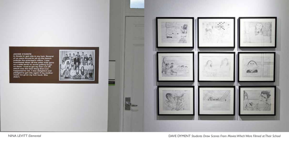JACKIE O'KEEFE<br>In Grade 6 I got nits in my hair. Several<br>of us were forced to sit on the bench of us were forced to sit on the bench<br>outside the principal's office. I was<br>humiliated when all the other kids gave<br>us a wide benth to avoid getting bugs<br>on them. I had to get my hair cut off,<br>which was the best thing that didn't.



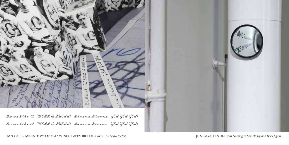

IAN CARR-HARRIS Do We Like It! & YVONNE LAMMERICH #3 Givins, 180 Shaw (detail) *JESSICA VALLENTIN From Nothing to Something, and Back Again*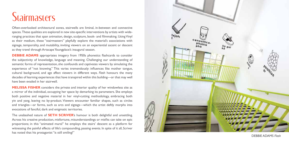Often-overlooked architectural zones, stairwells are liminal, in-between and connective spaces. These qualities are explored in new site-specific interventions by artists with wideranging practices that span animation, design, sculpture, book- and filmmaking. Using Vinyl as their medium, these "stairmasters" playfully explore the material's associations with signage, temporality, and mutability, inviting viewers on an experiential ascent or descent as they travel through Artscape Youngplace's inaugural season.

**DEBBIE ADAMS** appropriates imagery from 1950s phonetics flashcards to consider the subjectivity of knowledge, language and meaning. Challenging our understanding of semantic forms of representation, she confounds and captivates viewers by simulating the experience of "not knowing." This varies tremendously: influences like mother tongue, cultural background, and age affect viewers in different ways. *Flash* honours the many decades of learning experiences that have transpired within this building—or that may well have been evaded in her stairwell. **Stair Master's**<br>Often-overlooked architectural zones, stairwe<br>spaces. These qualities are explored in new site<br>ranging practices that span animation, design, s<br>as their medium, these "stairmasters" playfull<br>signage, tempo

**MELISSA FISHER** considers the private and interior quality of her windowless site as a mirror of the individual, occupying her space by demarking its parameters. She employs both positive and negative material in her vinyl-cutting methodology, embracing both yin and yang, leaving no by-product. Viewers encounter familiar shapes, such as circles and triangles—or forms, such as arcs and zigzags—which the artist deftly morphs into evocations of fanciful, dark and enigmatic territories.

The unabashed nature of **SETH SCRIVER**'s humour is both delightful and unsettling. Across his creative production, misfortune, misunderstandings or misfits can take on epic proportions; in this "animated mural" he employs the stairs' descent as a platform for witnessing the painful effects of life's compounding, passing events. In spite of it all, Scriver

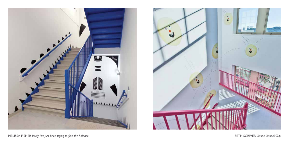



MELISSA FISHER lately, I've just been trying to find the balance **SETH SCRIVER Oukee's Trip** SETH SCRIVER Oukee Oukee's Trip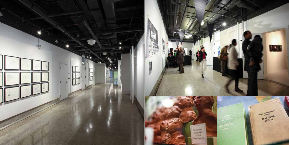